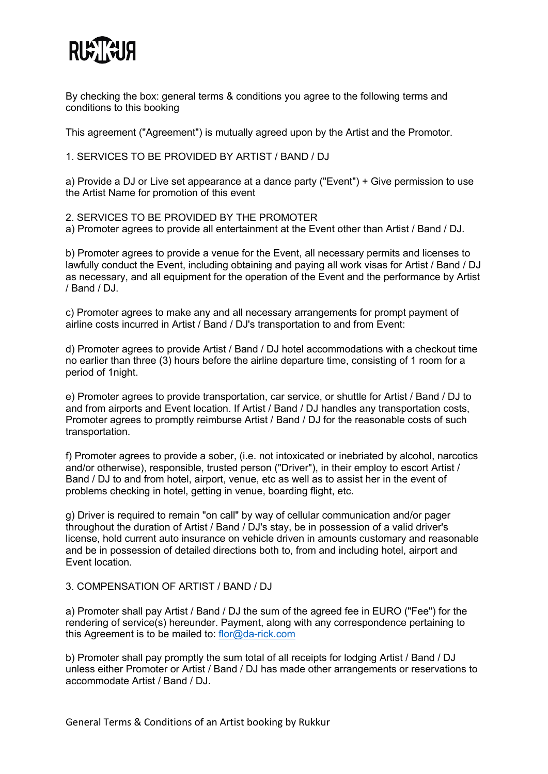

By checking the box: general terms & conditions you agree to the following terms and conditions to this booking

This agreement ("Agreement") is mutually agreed upon by the Artist and the Promotor.

1. SERVICES TO BE PROVIDED BY ARTIST / BAND / DJ

a) Provide a DJ or Live set appearance at a dance party ("Event") + Give permission to use the Artist Name for promotion of this event

2. SERVICES TO BE PROVIDED BY THE PROMOTER a) Promoter agrees to provide all entertainment at the Event other than Artist / Band / DJ.

b) Promoter agrees to provide a venue for the Event, all necessary permits and licenses to lawfully conduct the Event, including obtaining and paying all work visas for Artist / Band / DJ as necessary, and all equipment for the operation of the Event and the performance by Artist / Band / DJ.

c) Promoter agrees to make any and all necessary arrangements for prompt payment of airline costs incurred in Artist / Band / DJ's transportation to and from Event:

d) Promoter agrees to provide Artist / Band / DJ hotel accommodations with a checkout time no earlier than three (3) hours before the airline departure time, consisting of 1 room for a period of 1night.

e) Promoter agrees to provide transportation, car service, or shuttle for Artist / Band / DJ to and from airports and Event location. If Artist / Band / DJ handles any transportation costs, Promoter agrees to promptly reimburse Artist / Band / DJ for the reasonable costs of such transportation.

f) Promoter agrees to provide a sober, (i.e. not intoxicated or inebriated by alcohol, narcotics and/or otherwise), responsible, trusted person ("Driver"), in their employ to escort Artist / Band / DJ to and from hotel, airport, venue, etc as well as to assist her in the event of problems checking in hotel, getting in venue, boarding flight, etc.

g) Driver is required to remain "on call" by way of cellular communication and/or pager throughout the duration of Artist / Band / DJ's stay, be in possession of a valid driver's license, hold current auto insurance on vehicle driven in amounts customary and reasonable and be in possession of detailed directions both to, from and including hotel, airport and Event location.

## 3. COMPENSATION OF ARTIST / BAND / DJ

a) Promoter shall pay Artist / Band / DJ the sum of the agreed fee in EURO ("Fee") for the rendering of service(s) hereunder. Payment, along with any correspondence pertaining to this Agreement is to be mailed to: flor@da-rick.com

b) Promoter shall pay promptly the sum total of all receipts for lodging Artist / Band / DJ unless either Promoter or Artist / Band / DJ has made other arrangements or reservations to accommodate Artist / Band / DJ.

General Terms & Conditions of an Artist booking by Rukkur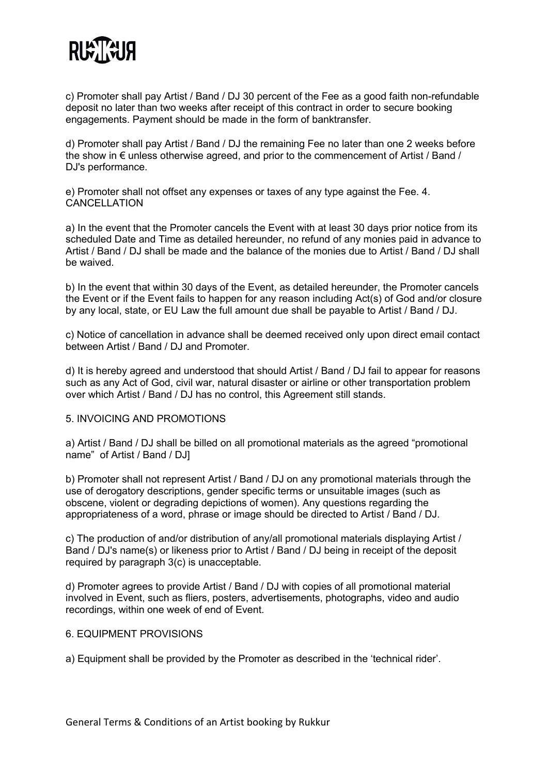

c) Promoter shall pay Artist / Band / DJ 30 percent of the Fee as a good faith non-refundable deposit no later than two weeks after receipt of this contract in order to secure booking engagements. Payment should be made in the form of banktransfer.

d) Promoter shall pay Artist / Band / DJ the remaining Fee no later than one 2 weeks before the show in € unless otherwise agreed, and prior to the commencement of Artist / Band / DJ's performance.

e) Promoter shall not offset any expenses or taxes of any type against the Fee. 4. CANCELLATION

a) In the event that the Promoter cancels the Event with at least 30 days prior notice from its scheduled Date and Time as detailed hereunder, no refund of any monies paid in advance to Artist / Band / DJ shall be made and the balance of the monies due to Artist / Band / DJ shall be waived.

b) In the event that within 30 days of the Event, as detailed hereunder, the Promoter cancels the Event or if the Event fails to happen for any reason including Act(s) of God and/or closure by any local, state, or EU Law the full amount due shall be payable to Artist / Band / DJ.

c) Notice of cancellation in advance shall be deemed received only upon direct email contact between Artist / Band / DJ and Promoter.

d) It is hereby agreed and understood that should Artist / Band / DJ fail to appear for reasons such as any Act of God, civil war, natural disaster or airline or other transportation problem over which Artist / Band / DJ has no control, this Agreement still stands.

## 5. INVOICING AND PROMOTIONS

a) Artist / Band / DJ shall be billed on all promotional materials as the agreed "promotional name" of Artist / Band / DJ]

b) Promoter shall not represent Artist / Band / DJ on any promotional materials through the use of derogatory descriptions, gender specific terms or unsuitable images (such as obscene, violent or degrading depictions of women). Any questions regarding the appropriateness of a word, phrase or image should be directed to Artist / Band / DJ.

c) The production of and/or distribution of any/all promotional materials displaying Artist / Band / DJ's name(s) or likeness prior to Artist / Band / DJ being in receipt of the deposit required by paragraph 3(c) is unacceptable.

d) Promoter agrees to provide Artist / Band / DJ with copies of all promotional material involved in Event, such as fliers, posters, advertisements, photographs, video and audio recordings, within one week of end of Event.

## 6. EQUIPMENT PROVISIONS

a) Equipment shall be provided by the Promoter as described in the 'technical rider'.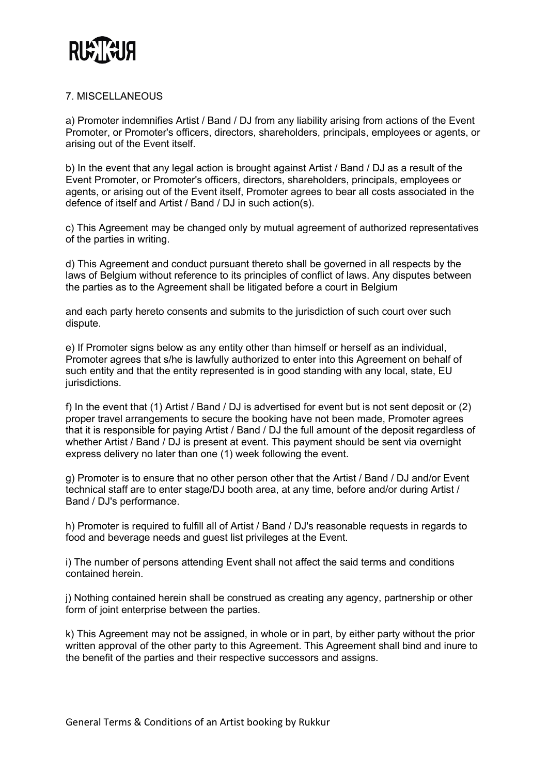

## 7. MISCELLANEOUS

a) Promoter indemnifies Artist / Band / DJ from any liability arising from actions of the Event Promoter, or Promoter's officers, directors, shareholders, principals, employees or agents, or arising out of the Event itself.

b) In the event that any legal action is brought against Artist / Band / DJ as a result of the Event Promoter, or Promoter's officers, directors, shareholders, principals, employees or agents, or arising out of the Event itself, Promoter agrees to bear all costs associated in the defence of itself and Artist / Band / DJ in such action(s).

c) This Agreement may be changed only by mutual agreement of authorized representatives of the parties in writing.

d) This Agreement and conduct pursuant thereto shall be governed in all respects by the laws of Belgium without reference to its principles of conflict of laws. Any disputes between the parties as to the Agreement shall be litigated before a court in Belgium

and each party hereto consents and submits to the jurisdiction of such court over such dispute.

e) If Promoter signs below as any entity other than himself or herself as an individual, Promoter agrees that s/he is lawfully authorized to enter into this Agreement on behalf of such entity and that the entity represented is in good standing with any local, state, EU jurisdictions.

f) In the event that (1) Artist / Band / DJ is advertised for event but is not sent deposit or (2) proper travel arrangements to secure the booking have not been made, Promoter agrees that it is responsible for paying Artist / Band / DJ the full amount of the deposit regardless of whether Artist / Band / DJ is present at event. This payment should be sent via overnight express delivery no later than one (1) week following the event.

g) Promoter is to ensure that no other person other that the Artist / Band / DJ and/or Event technical staff are to enter stage/DJ booth area, at any time, before and/or during Artist / Band / DJ's performance.

h) Promoter is required to fulfill all of Artist / Band / DJ's reasonable requests in regards to food and beverage needs and guest list privileges at the Event.

i) The number of persons attending Event shall not affect the said terms and conditions contained herein.

j) Nothing contained herein shall be construed as creating any agency, partnership or other form of joint enterprise between the parties.

k) This Agreement may not be assigned, in whole or in part, by either party without the prior written approval of the other party to this Agreement. This Agreement shall bind and inure to the benefit of the parties and their respective successors and assigns.